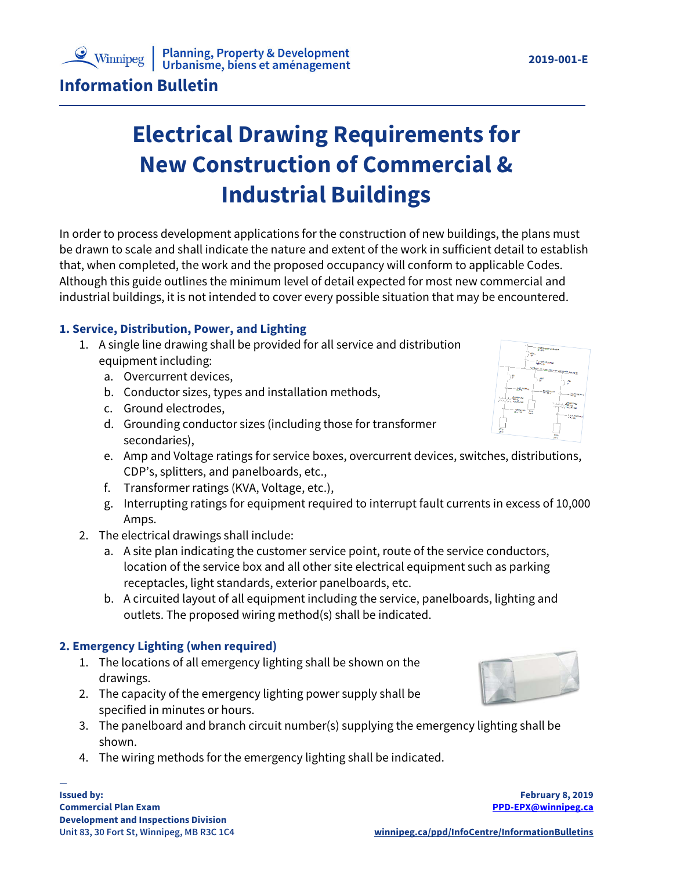## **Planning, Property & Development<br>Urbanisme, biens et aménagement**

**Information Bulletin**

# **Electrical Drawing Requirements for New Construction of Commercial & Industrial Buildings**

In order to process development applications for the construction of new buildings, the plans must be drawn to scale and shall indicate the nature and extent of the work in sufficient detail to establish that, when completed, the work and the proposed occupancy will conform to applicable Codes. Although this guide outlines the minimum level of detail expected for most new commercial and industrial buildings, it is not intended to cover every possible situation that may be encountered.

## **1. Service, Distribution, Power, and Lighting**

- 1. A single line drawing shall be provided for all service and distribution equipment including:
	- a. Overcurrent devices,
	- b. Conductor sizes, types and installation methods,
	- c. Ground electrodes,
	- d. Grounding conductor sizes (including those for transformer secondaries),
	- e. Amp and Voltage ratings for service boxes, overcurrent devices, switches, distributions, CDP's, splitters, and panelboards, etc.,
	- f. Transformer ratings (KVA, Voltage, etc.),
	- g. Interrupting ratings for equipment required to interrupt fault currents in excess of 10,000 Amps.
- 2. The electrical drawings shall include:
	- a. A site plan indicating the customer service point, route of the service conductors, location of the service box and all other site electrical equipment such as parking receptacles, light standards, exterior panelboards, etc.
	- b. A circuited layout of all equipment including the service, panelboards, lighting and outlets. The proposed wiring method(s) shall be indicated.

#### **2. Emergency Lighting (when required)**

- 1. The locations of all emergency lighting shall be shown on the drawings.
- 2. The capacity of the emergency lighting power supply shall be specified in minutes or hours.
- 3. The panelboard and branch circuit number(s) supplying the emergency lighting shall be shown.
- 4. The wiring methods for the emergency lighting shall be indicated.





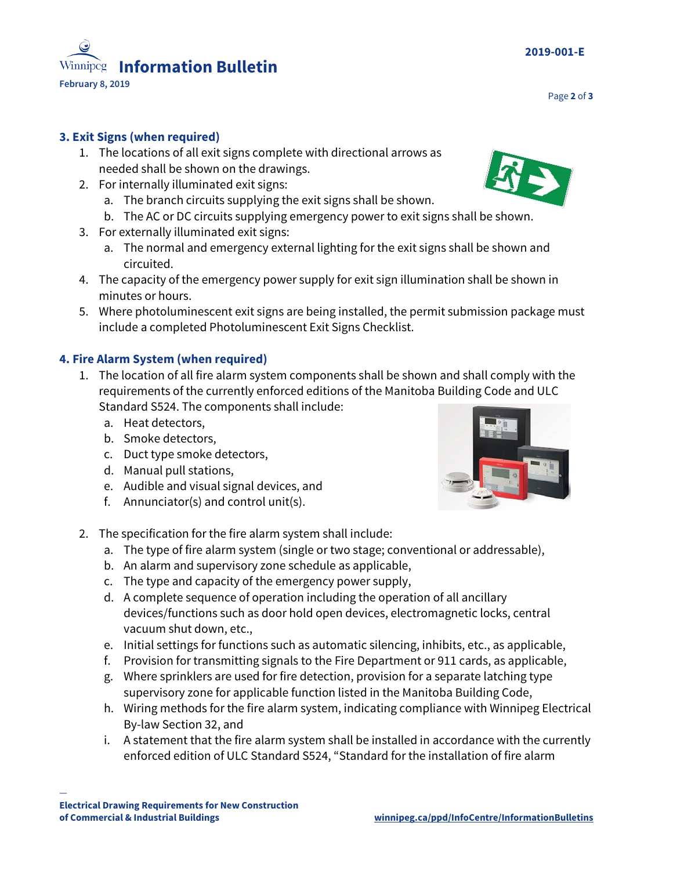—

## **3. Exit Signs (when required)**

- 1. The locations of all exit signs complete with directional arrows as needed shall be shown on the drawings.
- 2. For internally illuminated exit signs:
	- a. The branch circuits supplying the exit signs shall be shown.
	- b. The AC or DC circuits supplying emergency power to exit signs shall be shown.
- 3. For externally illuminated exit signs:
	- a. The normal and emergency external lighting for the exit signs shall be shown and circuited.
- 4. The capacity of the emergency power supply for exit sign illumination shall be shown in minutes or hours.
- 5. Where photoluminescent exit signs are being installed, the permit submission package must include a completed Photoluminescent Exit Signs Checklist.

## **4. Fire Alarm System (when required)**

- 1. The location of all fire alarm system components shall be shown and shall comply with the requirements of the currently enforced editions of the Manitoba Building Code and ULC Standard S524. The components shall include:
	- a. Heat detectors,
	- b. Smoke detectors,
	- c. Duct type smoke detectors,
	- d. Manual pull stations,
	- e. Audible and visual signal devices, and
	- f. Annunciator(s) and control unit(s).
- 2. The specification for the fire alarm system shall include:
	- a. The type of fire alarm system (single or two stage; conventional or addressable),
	- b. An alarm and supervisory zone schedule as applicable,
	- c. The type and capacity of the emergency power supply,
	- d. A complete sequence of operation including the operation of all ancillary devices/functions such as door hold open devices, electromagnetic locks, central vacuum shut down, etc.,
	- e. Initial settings for functions such as automatic silencing, inhibits, etc., as applicable,
	- f. Provision for transmitting signals to the Fire Department or 911 cards, as applicable,
	- g. Where sprinklers are used for fire detection, provision for a separate latching type supervisory zone for applicable function listed in the Manitoba Building Code,
	- h. Wiring methods for the fire alarm system, indicating compliance with Winnipeg Electrical By-law Section 32, and
	- i. A statement that the fire alarm system shall be installed in accordance with the currently enforced edition of ULC Standard S524, "Standard for the installation of fire alarm



Page **2** of **3**